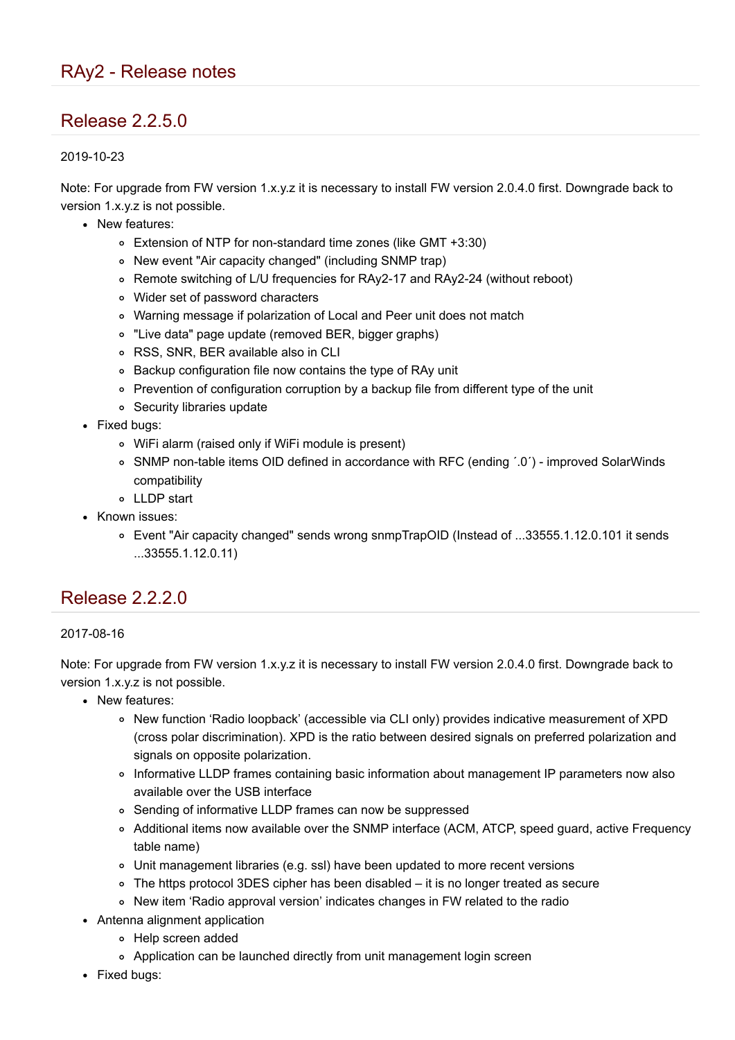# Release 2.2.5.0

#### 2019-10-23

Note: For upgrade from FW version 1.x.y.z it is necessary to install FW version 2.0.4.0 first. Downgrade back to version 1.x.y.z is not possible.

- New features:
	- Extension of NTP for non-standard time zones (like GMT +3:30)
	- New event "Air capacity changed" (including SNMP trap)
	- Remote switching of L/U frequencies for RAy2-17 and RAy2-24 (without reboot)
	- Wider set of password characters
	- Warning message if polarization of Local and Peer unit does not match
	- "Live data" page update (removed BER, bigger graphs)
	- RSS, SNR, BER available also in CLI
	- Backup configuration file now contains the type of RAy unit
	- Prevention of configuration corruption by a backup file from different type of the unit
	- Security libraries update
- Fixed bugs:
	- WiFi alarm (raised only if WiFi module is present)
	- SNMP non-table items OID defined in accordance with RFC (ending ´.0´) improved SolarWinds compatibility
	- LLDP start
- Known issues:
	- Event "Air capacity changed" sends wrong snmpTrapOID (Instead of ...33555.1.12.0.101 it sends ...33555.1.12.0.11)

### Release 2.2.2.0

#### 2017-08-16

- New features:
	- o New function 'Radio loopback' (accessible via CLI only) provides indicative measurement of XPD (cross polar discrimination). XPD is the ratio between desired signals on preferred polarization and signals on opposite polarization.
	- Informative LLDP frames containing basic information about management IP parameters now also available over the USB interface
	- Sending of informative LLDP frames can now be suppressed
	- Additional items now available over the SNMP interface (ACM, ATCP, speed guard, active Frequency table name)
	- Unit management libraries (e.g. ssl) have been updated to more recent versions
	- The https protocol 3DES cipher has been disabled it is no longer treated as secure
	- New item 'Radio approval version' indicates changes in FW related to the radio
- Antenna alignment application
	- Help screen added
	- Application can be launched directly from unit management login screen
- Fixed bugs: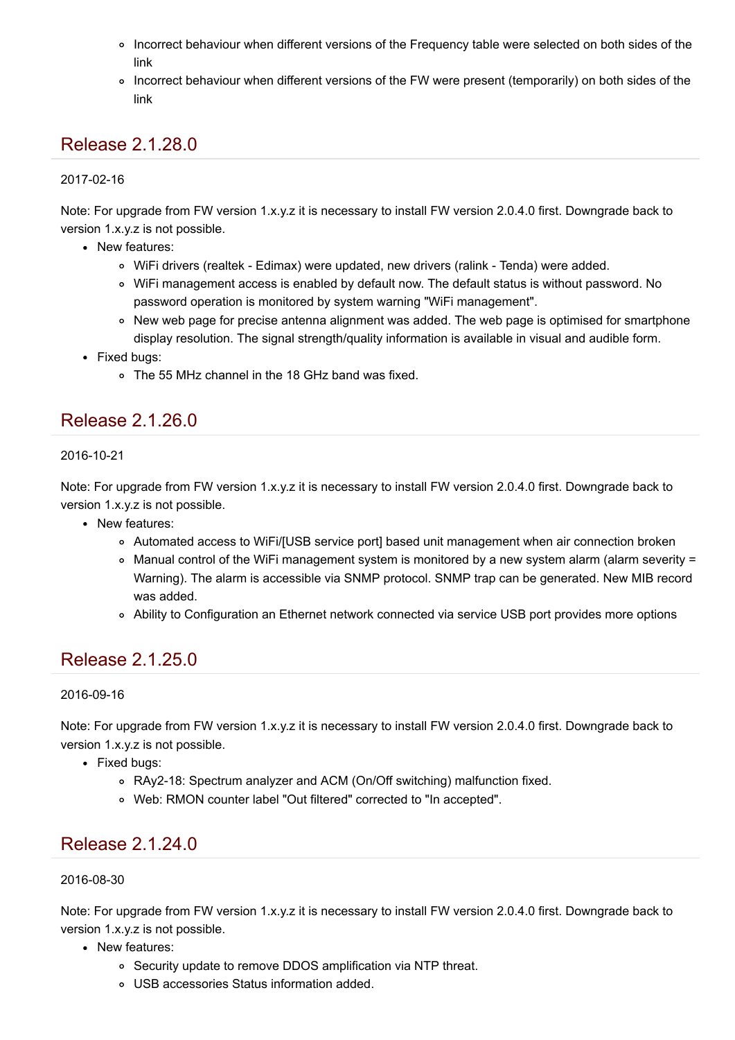- Incorrect behaviour when different versions of the Frequency table were selected on both sides of the link
- Incorrect behaviour when different versions of the FW were present (temporarily) on both sides of the link

# Release 2.1.28.0

### 2017-02-16

Note: For upgrade from FW version 1.x.y.z it is necessary to install FW version 2.0.4.0 first. Downgrade back to version 1.x.y.z is not possible.

- New features:
	- WiFi drivers (realtek Edimax) were updated, new drivers (ralink Tenda) were added.
	- WiFi management access is enabled by default now. The default status is without password. No password operation is monitored by system warning "WiFi management".
	- o New web page for precise antenna alignment was added. The web page is optimised for smartphone display resolution. The signal strength/quality information is available in visual and audible form.
- Fixed bugs:
	- The 55 MHz channel in the 18 GHz band was fixed.

### Release 2.1.26.0

### 2016-10-21

Note: For upgrade from FW version 1.x.y.z it is necessary to install FW version 2.0.4.0 first. Downgrade back to version 1.x.y.z is not possible.

- New features:
	- Automated access to WiFi/[USB service port] based unit management when air connection broken
	- Manual control of the WiFi management system is monitored by a new system alarm (alarm severity = Warning). The alarm is accessible via SNMP protocol. SNMP trap can be generated. New MIB record was added.
	- Ability to Configuration an Ethernet network connected via service USB port provides more options

### Release 2.1.25.0

### 2016-09-16

Note: For upgrade from FW version 1.x.y.z it is necessary to install FW version 2.0.4.0 first. Downgrade back to version 1.x.y.z is not possible.

- Fixed bugs:
	- RAy2-18: Spectrum analyzer and ACM (On/Off switching) malfunction fixed.
	- Web: RMON counter label "Out filtered" corrected to "In accepted".

# Release 2.1.24.0

### 2016-08-30

- New features:
	- Security update to remove DDOS amplification via NTP threat.
	- USB accessories Status information added.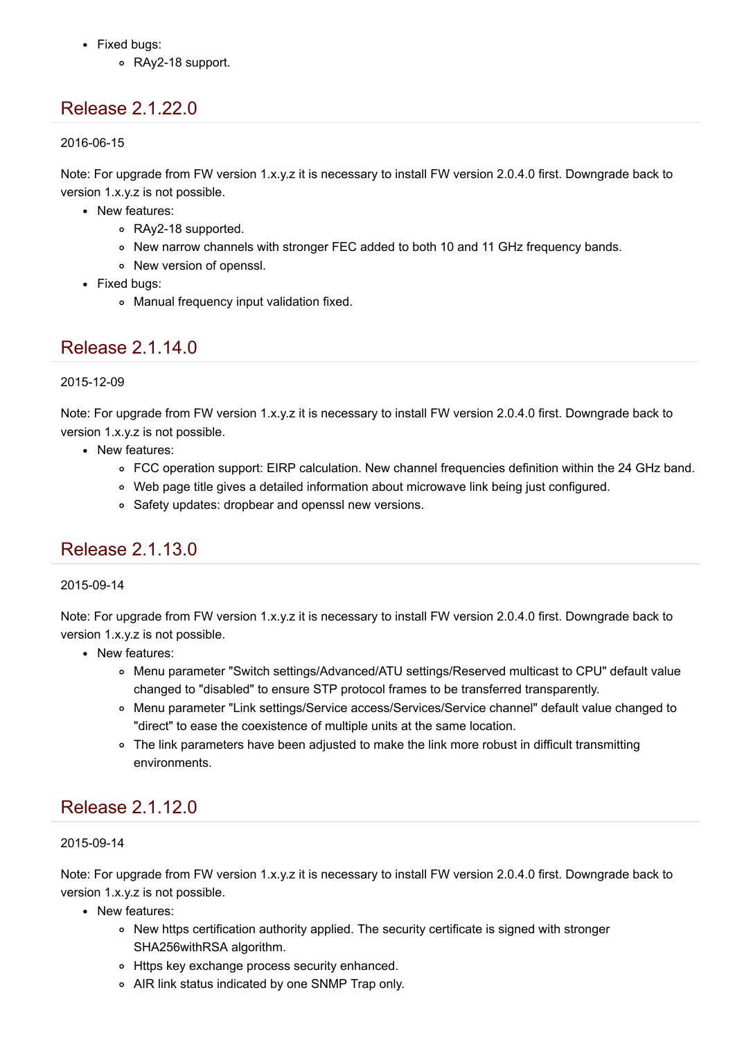- Fixed bugs:
	- RAy2-18 support.

# Release 2.1.22.0

2016-06-15

Note: For upgrade from FW version 1.x.y.z it is necessary to install FW version 2.0.4.0 first. Downgrade back to version 1.x.y.z is not possible.

- New features:
	- RAy2-18 supported.
	- New narrow channels with stronger FEC added to both 10 and 11 GHz frequency bands.
	- New version of openssl.
- Fixed bugs:
	- Manual frequency input validation fixed.

### Release 2.1.14.0

### 2015-12-09

Note: For upgrade from FW version 1.x.y.z it is necessary to install FW version 2.0.4.0 first. Downgrade back to version 1.x.y.z is not possible.

- New features:
	- FCC operation support: EIRP calculation. New channel frequencies definition within the 24 GHz band.
	- Web page title gives a detailed information about microwave link being just configured.
	- Safety updates: dropbear and openssl new versions.

# Release 2.1.13.0

### 2015-09-14

Note: For upgrade from FW version 1.x.v.z it is necessary to install FW version 2.0.4.0 first. Downgrade back to version 1.x.y.z is not possible.

- New features:
	- Menu parameter "Switch settings/Advanced/ATU settings/Reserved multicast to CPU" default value changed to "disabled" to ensure STP protocol frames to be transferred transparently.
	- Menu parameter "Link settings/Service access/Services/Service channel" default value changed to "direct" to ease the coexistence of multiple units at the same location.
	- The link parameters have been adjusted to make the link more robust in difficult transmitting environments.

# Release 2.1.12.0

### 2015-09-14

- New features:
	- o New https certification authority applied. The security certificate is signed with stronger SHA256withRSA algorithm.
	- o Https key exchange process security enhanced.
	- AIR link status indicated by one SNMP Trap only.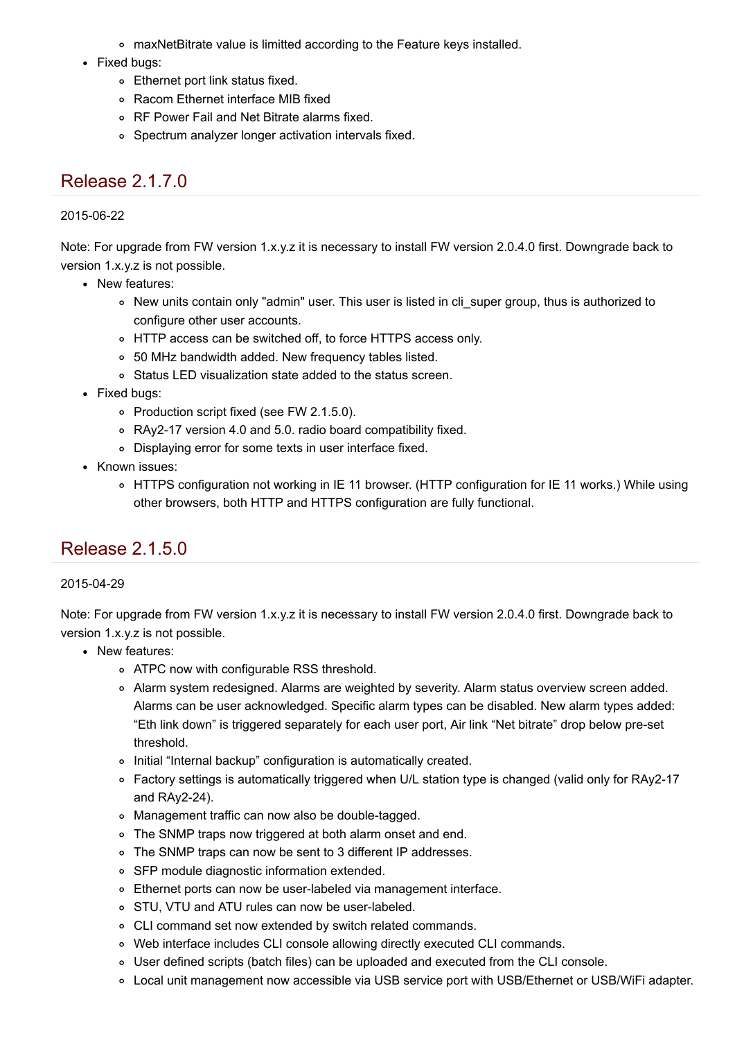- maxNetBitrate value is limitted according to the Feature keys installed.
- Fixed bugs:
	- Ethernet port link status fixed.
	- Racom Ethernet interface MIB fixed
	- RF Power Fail and Net Bitrate alarms fixed.
	- Spectrum analyzer longer activation intervals fixed.

# Release 2.1.7.0

### 2015-06-22

Note: For upgrade from FW version 1.x.y.z it is necessary to install FW version 2.0.4.0 first. Downgrade back to version 1.x.y.z is not possible.

- New features:
	- New units contain only "admin" user. This user is listed in cli super group, thus is authorized to configure other user accounts.
	- o HTTP access can be switched off, to force HTTPS access only.
	- 50 MHz bandwidth added. New frequency tables listed.
	- Status LED visualization state added to the status screen.
- Fixed bugs:
	- o Production script fixed (see FW 2.1.5.0).
	- RAy2-17 version 4.0 and 5.0. radio board compatibility fixed.
	- Displaying error for some texts in user interface fixed.
- Known issues:
	- HTTPS configuration not working in IE 11 browser. (HTTP configuration for IE 11 works.) While using other browsers, both HTTP and HTTPS configuration are fully functional.

# Release 2.1.5.0

### 2015-04-29

- New features:
	- o ATPC now with configurable RSS threshold.
	- Alarm system redesigned. Alarms are weighted by severity. Alarm status overview screen added. Alarms can be user acknowledged. Specific alarm types can be disabled. New alarm types added: "Eth link down" is triggered separately for each user port, Air link "Net bitrate" drop below pre-set threshold.
	- o Initial "Internal backup" configuration is automatically created.
	- Factory settings is automatically triggered when U/L station type is changed (valid only for RAy2-17 and RAy2-24).
	- Management traffic can now also be double-tagged.
	- The SNMP traps now triggered at both alarm onset and end.
	- The SNMP traps can now be sent to 3 different IP addresses.
	- SFP module diagnostic information extended.
	- Ethernet ports can now be user-labeled via management interface.
	- o STU, VTU and ATU rules can now be user-labeled.
	- CLI command set now extended by switch related commands.
	- Web interface includes CLI console allowing directly executed CLI commands.
	- User defined scripts (batch files) can be uploaded and executed from the CLI console.
	- Local unit management now accessible via USB service port with USB/Ethernet or USB/WiFi adapter.